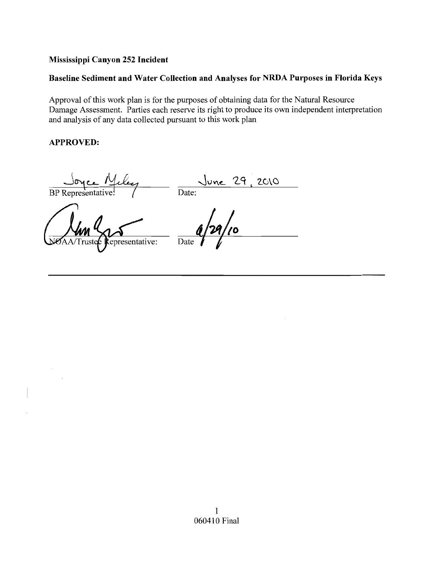### **Mississippi Canyon 252 Incident**

## **Baseline Sediment and Water Collection and Analyses for NRDA Purposes in Florida Keys**

Approval of this work plan is for the purposes of obtaining data for the Natural Resource Damage Assessment. Parties each reserve its right to produce its own independent interpretation and analysis of any data collected pursuant to this work plan

### **APPROVED:**

**BP** Representati

epresentative: .<br>ruste

Date:  $\frac{29}{2010}$ Date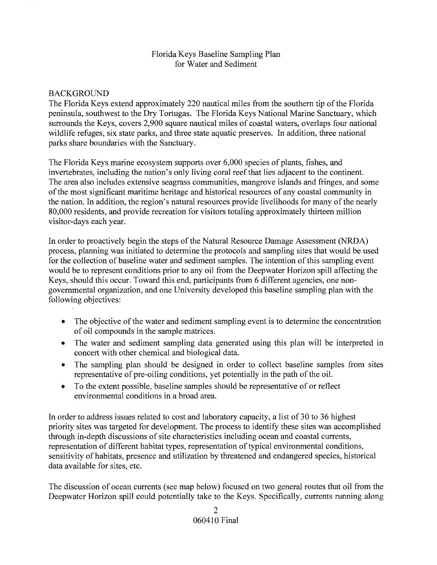#### Florida Keys Baseline Sampling Plan for Water and Sediment

### BACKGROUND

The Florida Keys extend approximately 220 nautical miles from the southern tip of the Florida peninsula, southwest to the Dry Tortugas. The Florida Keys National Marine Sanctuary, which surrounds the Keys, covers 2,900 square nautical miles of coastal waters, overlaps four national wildlife refuges, six state parks, and three state aquatic preserves. In addition, three national parks share boundaries with the Sanctuary.

The Florida Keys marine ecosystem supports over 6,000 species of plants, fishes, and invertebrates, including the nation's only living coral reef that lies adjacent to the continent. The area also includes extensive seagrass communities, mangrove islands and fringes, and some of the most significant maritime heritage and historical resources of any coastal community in the nation. In addition, the region's natural resources provide livelihoods for many of the nearly 80,000 residents, and provide recreation for visitors totaling approximately thirteen million visitor-days each year.

In order to proactively begin the steps of the Natural Resource Damage Assessment (NRDA) process, planning was initiated to determine the protocols and sampling sites that would be used for the collection of baseline water and sediment samples. The intention of this sampling event would be to represent conditions prior to any oil from the Deepwater Horizon spill affecting the Keys, should this occur. Toward this end, participants from 6 different agencies, one nongovernmental organization, and one University developed this baseline sampling plan with the following objectives:

- The objective of the water and sediment sampling event is to determine the concentration of oil compounds in the sample matrices.
- The water and sediment sampling data generated using this plan will be interpreted in concert with other chemical and biological data.
- The sampling plan should be designed in order to collect baseline samples from sites representative of pre-oiling conditions, yet potentially in the path of the oil.
- To the extent possible, baseline samples should be representative of or reflect environmental conditions in a broad area.

In order to address issues related to cost and laboratory capacity, a list of 30 to 36 highest priority sites was targeted for development. The process to identify these sites was accomplished through in-depth discussions of site characteristics including ocean and coastal currents, representation of different habitat types, representation of typical environmental conditions, sensitivity of habitats, presence and utilization by threatened and endangered species, historical data available for sites, etc.

The discussion of ocean currents (see map below) focused on two general routes that oil from the Deepwater Horizon spill could potentially take to the Keys. Specifically, currents running along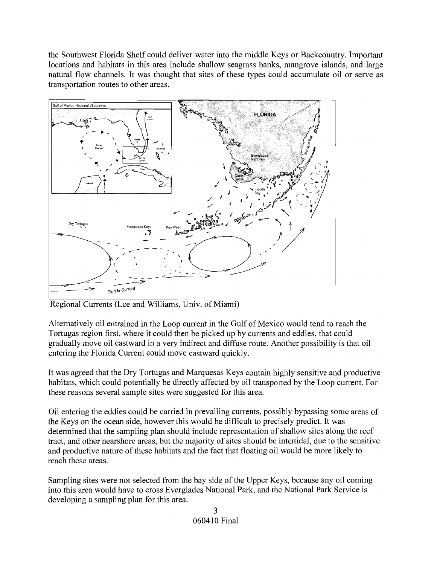the Southwest Florida Shelf could deliver water into the middle Keys or Backcountry. Important locations and habitats in this area include shallow seagrass banks, mangrove islands, and large natural flow channels. It was thought that sites of these types could accumulate oil or serve as transportation routes to other areas.



Regional Currents (Lee and Williams, Univ. of Miami)

Alternatively oil entrained in the Loop current in the Gulf of Mexico would tend to reach the Tortugas region first, where it could then be picked up by currents and eddies, that could gradually move oil eastward in a very indirect and diffuse route. Another possibility is that oil entering the Florida Current could move eastward quickly.

It was agreed that the Dry Tortugas and Marquesas Keys contain highly sensitive and productive habitats, which could potentially be directly affected by oil transported by the Loop current. For these reasons several sample sites were suggested for this area.

Oil entering the eddies could be carried in prevailing currents, possibly bypassing some areas of the Keys on the ocean side, however this would be difficult to precisely predict. It was determined that the sampling plan should include representation of shallow sites along the reef tract, and other nearshore areas, but the majority of sites should be intertidal, due to the sensitive and productive nature of these habitats and the fact that floating oil would be more likely to reach these areas.

Sampling sites were not selected from the bay side of the Upper Keys, because any oil coming into this area would have to cross Everglades National Park, and the National Park Service is developing a sampling plan for this area.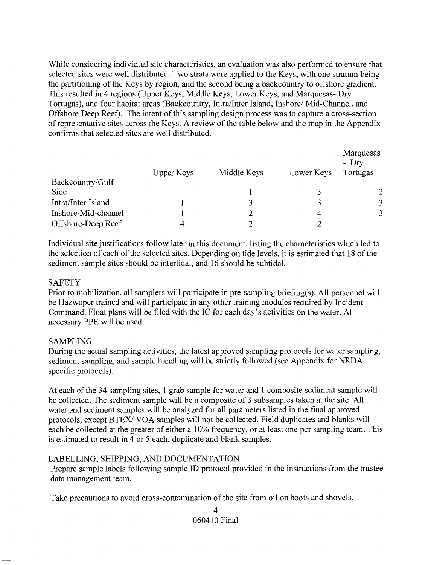While considering individual site characteristics, an evaluation was also performed to ensure that selected sites were well distributed. Two strata were applied to the Keys, with one stratum being the partitioning of the Keys by region, and the second being a backcountry to offshore gradient. This resulted in 4 regions (Upper Keys, Middle Keys, Lower Keys, and Marquesas- Dry Tortugas), and four habitat areas (Backcountry, Intra/Inter Island, Inshore/ Mid-Channel, and Offshore Deep Reef). The intent of this sampling design process was to capture a cross-section of representative sites across the Keys. A review of the table below and the map in the Appendix confinns that selected sites are well distributed.

|                     | Upper Keys | Middle Keys | Lower Keys | Marquesas<br>$-$ Dry<br>Tortugas |
|---------------------|------------|-------------|------------|----------------------------------|
| Backcountry/Gulf    |            |             |            |                                  |
| Side                |            |             |            |                                  |
| Intra/Inter Island  |            |             | 3          | 3                                |
| Inshore-Mid-channel |            |             | 4          | 3                                |
| Offshore-Deep Reef  |            |             |            |                                  |

Individual site justifications follow later in this document, listing the characteristics which led to the selection of each of the selected sites. Depending on tide levels, it is estimated that 18 of the sediment sample sites should be intertidal, and 16 should be subtidal.

#### **SAFETY**

Prior to mobilization, all samplers will participate in pre-sampling briefing(s). All personnel will be Hazwoper trained and will participate in any other training modules required by Incident Command. Float plans will be filed with the IC for each day's activities on the water. All necessary PPE will be used.

### SAMPLING

During the actual sampling activities, the latest approved sampling protocols for water sampling, sediment sampling, and sample handling will be strictly followed (see Appendix for NRDA specific protocols).

At each of the 34 sampling sites, 1 grab sample for water and 1 composite sediment sample will be collected. The sediment sample will be a composite of 3 subsamples taken at the site. All water and sediment samples will be analyzed for all parameters listed in the final approved protocols, except *BTEXI* VOA samples will not be collected. Field duplicates and blanks will each be collected at the greater of either a 10% frequency, or at least one per sampling team. This is estimated to result in 4 or 5 each, duplicate and blank samples.

### LABELLING, SHIPPING, AND DOCUMENTATION

Prepare sample labels following sample **ID** protocol provided in the instructions from the trustee data management team.

Take precautions to avoid cross-contamination of the site from oil on boots and shovels.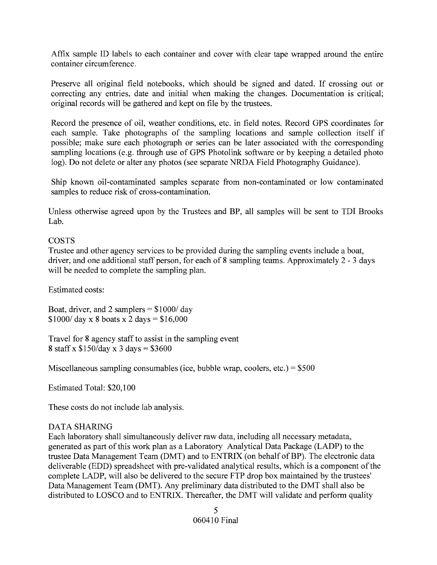Affix sample ID labels to each container and cover with clear tape wrapped around the entire container circumference.

Preserve all original field notebooks, which should be signed and dated. If crossing out or correcting any entries, date and initial when making the changes. Documentation is critical; original records will be gathered and kept on file by the trustees.

Record the presence of oil, weather conditions, etc. in field notes. Record GPS coordinates for each sample. Take photographs of the sampling locations and sample collection itself if possible; make sure each photograph or series can be later associated with the corresponding sampling locations (e.g. through use of GPS Photolink software or by keeping a detailed photo log). Do not delete or alter any photos (see separate NRDA Field Photography Guidance).

Ship known oil-contaminated samples separate from non-contaminated or low contaminated samples to reduce risk of cross-contamination.

Unless otherwise agreed upon by the Trustees and BP, all samples will be sent to TDI Brooks Lab.

#### COSTS

Trustee and other agency services to be provided during the sampling events include a boat, driver, and one additional staff person, for each of 8 sampling teams. Approximately 2 - 3 days will be needed to complete the sampling plan.

Estimated costs:

Boat, driver, and 2 samplers  $=$  \$1000/day  $$1000/$  day x 8 boats x 2 days =  $$16,000$ 

Travel for 8 agency staff to assist in the sampling event 8 staff x  $$150/day$  x 3 days = \$3600

Miscellaneous sampling consumables (ice, bubble wrap, coolers, etc.) =  $$500$ 

Estimated Total: \$20,100

These costs do not include lab analysis.

#### DATA SHARING

Each laboratory shall simultaneously deliver raw data, including all necessary metadata, generated as part of this work plan as a Laboratory Analytical Data Package (LADP) to the trustee Data Management Team (DMT) and to ENTRIX (on behalf of BP). The electronic data deliverable (EDD) spreadsheet with pre-validated analytical results, which is a component of the complete LADP, will also be delivered to the secure FTP drop box maintained by the trustees' Data Management Team (DMT). Any preliminary data distributed to the DMT shall also be distributed to LOSCO and to ENTRIX. Thereafter, the DMT will validate and perform quality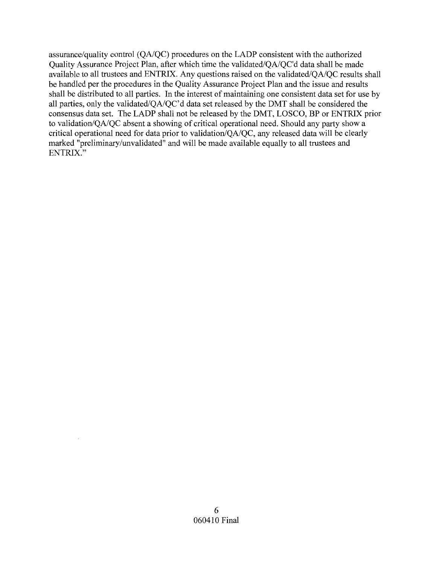assurance/quality control *(QAIQC)* procedures on the LADP consistent with the authorized Quality Assurance Project Plan, after which time the validated/OA/OC'd data shall be made available to all trustees and ENTRIX. Any questions raised on the validated/QA/QC results shall be handled per the procedures in the Quality Assurance Project Plan and the issue and results shall be distributed to all parties. In the interest of maintaining one consistent data set for use by all parties, only the validated/QA/QC'd data set released by the DMT shall be considered the consensus data set. The LADP shall not be released by the DMT, LOSCO, BP or ENTRIX prior to validation/QA/QC absent a showing of critical operational need. Should any party show a critical operational need for data prior to validation/QA/QC, any released data will be clearly marked "preliminary/unvalidated" and will be made available equally to all trustees and ENTRIX."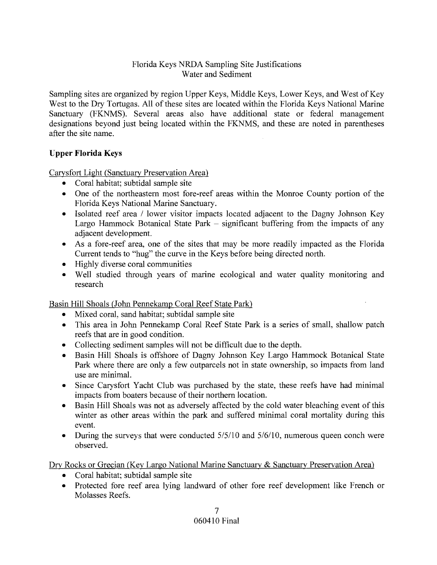### Florida Keys NRDA Sampling Site Justifications Water and Sediment

Sampling sites are organized by region Upper Keys, Middle Keys, Lower Keys, and West of Key West to the Dry Tortugas. All of these sites are located within the Florida Keys National Marine Sanctuary (FKNMS). Several areas also have additional state or federal management designations beyond just being located within the FKNMS, and these are noted in parentheses after the site name.

# **Upper Florida Keys**

Carysfort Light (Sanctuary Preservation Area)

- Coral habitat; subtidal sample site
- One of the northeastern most fore-reef areas within the Monroe County portion of the Florida Keys National Marine Sanctuary.
- Isolated reef area / lower visitor impacts located adjacent to the Dagny Johnson Key Largo Hammock Botanical State Park  $-$  significant buffering from the impacts of any adjacent development.
- As a fore-reef area, one of the sites that may be more readily impacted as the Florida Current tends to "hug" the curve in the Keys before being directed north.
- Highly diverse coral communities
- Well studied through years of marine ecological and water quality monitoring and research

### Basin Hill Shoals (John Pennekamp Coral Reef State Park)

- Mixed coral, sand habitat; subtidal sample site
- This area in John Pennekamp Coral Reef State Park is a series of small, shallow patch reefs that are in good condition.
- Collecting sediment samples will not be difficult due to the depth.
- Basin Hill Shoals is offshore of Dagny Johnson Key Largo Hammock Botanical State Park where there are only a few outparcels not in state ownership, so impacts from land use are minimal.
- Since Carysfort Yacht Club was purchased by the state, these reefs have had minimal impacts from boaters because of their northern location.
- Basin Hill Shoals was not as adversely affected by the cold water bleaching event of this winter as other areas within the park and suffered minimal coral mortality during this event.
- During the surveys that were conducted 5/5/10 and 5/6/10, numerous queen conch were observed.

Dry Rocks or Grecian (Key Largo National Marine Sanctuary & Sanctuary Preservation Area)

- Coral habitat; subtidal sample site
- Protected fore reef area lying landward of other fore reef development like French or Molasses Reefs.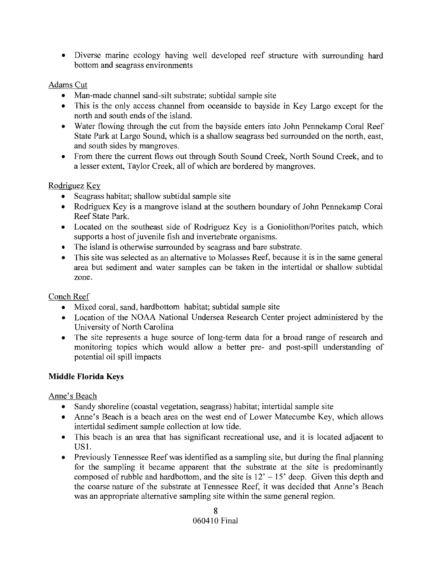• Diverse marine ecology having well developed reef structure with surrounding hard bottom and seagrass environments

## Adams Cut

- Man-made channel sand-silt substrate; subtidal sample site
- This is the only access channel from oceanside to bayside in Key Largo except for the north and south ends of the island.
- Water flowing through the cut from the bayside enters into John Pennekamp Coral Reef State Park at Largo Sound, which is a shallow seagrass bed surrounded on the north, east, and south sides by mangroves.
- From there the current flows out through South Sound Creek, North Sound Creek, and to a lesser extent, Taylor Creek, all of which are bordered by mangroves.

# Rodriguez Key

- Seagrass habitat; shallow subtidal sample site
- Rodriguex Key is a mangrove island at the southern boundary of John Pennekamp Coral Reef State Park.
- Located on the southeast side of Rodriguez Key is a Goniolithon/Porites patch, which supports a host of juvenile fish and invertebrate organisms.
- The island is otherwise surrounded by seagrass and bare substrate.
- This site was selected as an alternative to Molasses Reef, because it is in the same general area but sediment and water samples can be taken in the intertidal or shallow subtidal zone.

# Conch Reef

- Mixed coral, sand, hardbottom habitat; subtidal sample site
- Location of the NOAA National Undersea Research Center project administered by the University of North Carolina
- The site represents a huge source of long-term data for a broad range of research and monitoring topics which would allow a better pre- and post-spill understanding of potential oil spill impacts

# **Middle Florida Keys**

Anne's Beach

- Sandy shoreline (coastal vegetation, seagrass) habitat; intertidal sample site
- Anne's Beach is a beach area on the west end of Lower Matecumbe Key, which allows intertidal sediment sample collection at low tide.
- This beach is an area that has significant recreational use, and it is located adjacent to USl.
- Previously Tennessee Reef was identified as a sampling site, but during the final planning for the sampling it became apparent that the substrate at the site is predominantly composed of rubble and hardbottom, and the site is  $12' - 15'$  deep. Given this depth and the coarse nature of the substrate at Tennessee Reef, it was decided that Anne's Beach was an appropriate alternative sampling site within the same general region.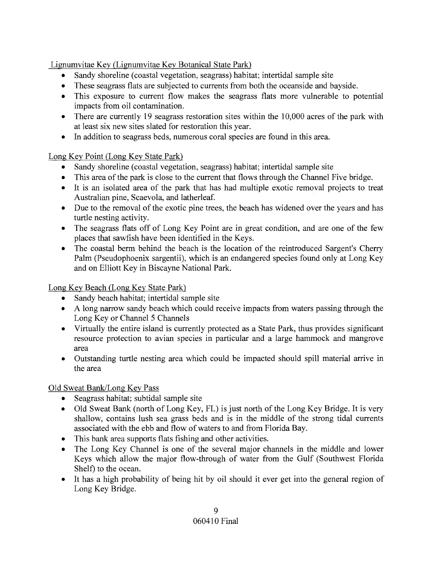Lignumvitae Key (Lignumvitae Key Botanical State Park)

- Sandy shoreline (coastal vegetation, seagrass) habitat; intertidal sample site
- These seagrass flats are subjected to currents from both the oceanside and bayside.
- This exposure to current flow makes the seagrass flats more vulnerable to potential impacts from oil contamination.
- There are currently 19 seagrass restoration sites within the 10,000 acres of the park with at least six new sites slated for restoration this year.
- In addition to seagrass beds, numerous coral species are found in this area.

# Long Key Point (Long Key State Park)

- Sandy shoreline (coastal vegetation, seagrass) habitat; intertidal sample site
- This area of the park is close to the current that flows through the Channel Five bridge.
- It is an isolated area of the park that has had multiple exotic removal projects to treat Australian pine, Scaevola, and latherleaf.
- Due to the removal of the exotic pine trees, the beach has widened over the years and has turtle nesting activity.
- The seagrass flats off of Long Key Point are in great condition, and are one of the few places that sawfish have been identified in the Keys.
- The coastal berm behind the beach is the location of the reintroduced Sargent's Cherry Palm (Pseudophoenix sargentii), which is an endangered species found only at Long Key and on Elliott Key in Biscayne National Park.

Long Key Beach (Long Key State Park)

- Sandy beach habitat; intertidal sample site
- A long narrow sandy beach which could receive impacts from waters passing through the Long Key or Channel 5 Channels
- Virtually the entire island is currently protected as a State Park, thus provides significant resource protection to avian species in particular and a large hammock and mangrove area
- Outstanding turtle nesting area which could be impacted should spill material arrive in the area

# Old Sweat Bank/Long Key Pass

- Seagrass habitat; subtidal sample site
- Old Sweat Bank (north of Long Key, FL) is just north of the Long Key Bridge. It is very shallow, contains lush sea grass beds and is in the middle of the strong tidal currents associated with the ebb and flow of waters to and from Florida Bay.
- This bank area supports flats fishing and other activities.
- The Long Key Channel is one of the several major channels in the middle and lower Keys which allow the major flow-through of water from the Gulf (Southwest Florida Shelf) to the ocean.
- It has a high probability of being hit by oil should it ever get into the general region of Long Key Bridge.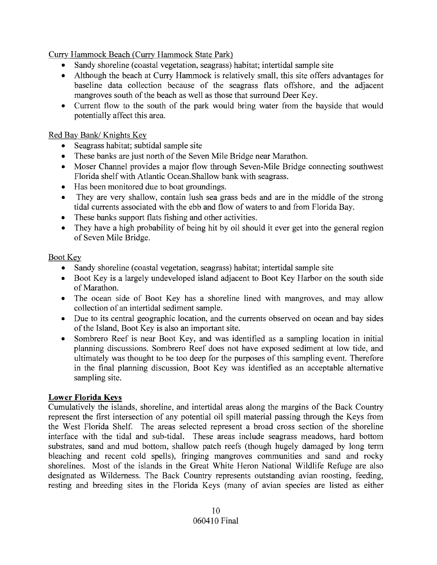Curry Hammock Beach (Curry Hammock State Park)

- Sandy shoreline (coastal vegetation, seagrass) habitat; intertidal sample site
- Although the beach at Curry Hammock is relatively small, this site offers advantages for baseline data collection because of the seagrass flats offshore, and the adjacent mangroves south of the beach as well as those that surround Deer Key.
- Current flow to the south of the park would bring water from the bayside that would potentially affect this area.

### Red Bay Bank/ Knights Key

- Seagrass habitat; subtidal sample site
- These banks are just north of the Seven Mile Bridge near Marathon.
- Moser Channel provides a major flow through Seven-Mile Bridge connecting southwest Florida shelf with Atlantic Ocean. Shallow bank with seagrass.
- Has been monitored due to boat groundings.
- They are very shallow, contain lush sea grass beds and are in the middle of the strong tidal currents associated with the ebb and flow of waters to and from Florida Bay.
- These banks support flats fishing and other activities.
- They have a high probability of being hit by oil should it ever get into the general region of Seven Mile Bridge.

# Boot Key

- Sandy shoreline (coastal vegetation, seagrass) habitat; intertidal sample site
- Boot Key is a largely undeveloped island adjacent to Boot Key Harbor on the south side of Marathon.
- The ocean side of Boot Key has a shoreline lined with mangroves, and may allow collection of an intertidal sediment sample.
- Due to its central geographic location, and the currents observed on ocean and bay sides of the Island, Boot Key is also an important site.
- Sombrero Reef is near Boot Key, and was identified as a sampling location in initial planning discussions. Sombrero Reef does not have exposed sediment at low tide, and ultimately was thought to be too deep for the purposes of this sampling event. Therefore in the final planning discussion, Boot Key was identified as an acceptable alternative sampling site.

# **Lower Florida Keys**

Cumulatively the islands, shoreline, and intertidal areas along the margins of the Back Country represent the first intersection of any potential oil spill material passing through the Keys from the West Florida Shelf. The areas selected represent a broad cross section of the shoreline interface with the tidal and sub-tidal. These areas include seagrass meadows, hard bottom substrates, sand and mud bottom, shallow patch reefs (though hugely damaged by long term bleaching and recent cold spells), fringing mangroves communities and sand and rocky shorelines. Most of the islands in the Great White Heron National Wildlife Refuge are also designated as Wilderness. The Back Country represents outstanding avian roosting, feeding, resting and breeding sites in the Florida Keys (many of avian species are listed as either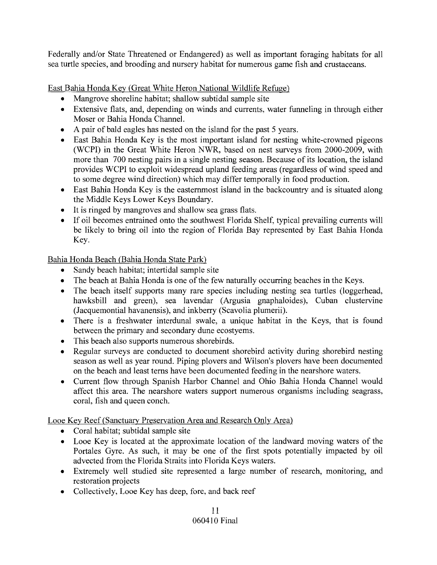Federally and/or State Threatened or Endangered) as well as important foraging habitats for all sea turtle species, and brooding and nursery habitat for numerous game fish and crustaceans.

East Bahia Honda Key (Great White Heron National Wildlife Refuge)

- Mangrove shoreline habitat; shallow subtidal sample site
- Extensive flats, and, depending on winds and currents, water funneling in through either Moser or Bahia Honda Channel.
- A pair of bald eagles has nested on the island for the past 5 years.
- East Bahia Honda Key is the most important island for nesting white-crowned pigeons (WCPI) in the Great White Heron NWR, based on nest surveys from 2000-2009, with more than 700 nesting pairs in a single nesting season. Because of its location, the island provides WCPI to exploit widespread upland feeding areas (regardless of wind speed and to some degree wind direction) which may differ temporally in food production.
- East Bahia Honda Key is the easternmost island in the backcountry and is situated along the Middle Keys Lower Keys Boundary.
- It is ringed by mangroves and shallow sea grass flats.
- If oil becomes entrained onto the southwest Florida Shelf, typical prevailing currents will be likely to bring oil into the region of Florida Bay represented by East Bahia Honda Key.

Bahia Honda Beach (Bahia Honda State Park)

- Sandy beach habitat; intertidal sample site
- The beach at Bahia Honda is one of the few naturally occurring beaches in the Keys.
- The beach itself supports many rare species including nesting sea turtles (loggerhead, hawksbill and green), sea lavendar (Argusia gnaphaloides), Cuban clustervine (Jacquemontial havanensis), and inkberry (Scavolia plumerii).
- There is a freshwater interdunal swale, a unique habitat in the Keys, that is found between the primary and secondary dune ecostyems.
- This beach also supports numerous shorebirds.
- Regular surveys are conducted to document shorebird activity during shorebird nesting season as well as year round. Piping plovers and Wilson's plovers have been documented on the beach and least terns have been documented feeding in the nearshore waters.
- Current flow through Spanish Harbor Channel and Ohio Bahia Honda Channel would affect this area. The nearshore waters support numerous organisms including seagrass, coral, fish and queen conch.

Looe Key Reef (Sanctuary Preservation Area and Research Only Area)

- Coral habitat; subtidal sample site
- Looe Key is located at the approximate location of the landward moving waters of the Portales Gyre. As such, it may be one of the first spots potentially impacted by oil advected from the Florida Straits into Florida Keys waters.
- Extremely well studied site represented a large number of research, monitoring, and restoration projects
- Collectively, Looe Key has deep, fore, and back reef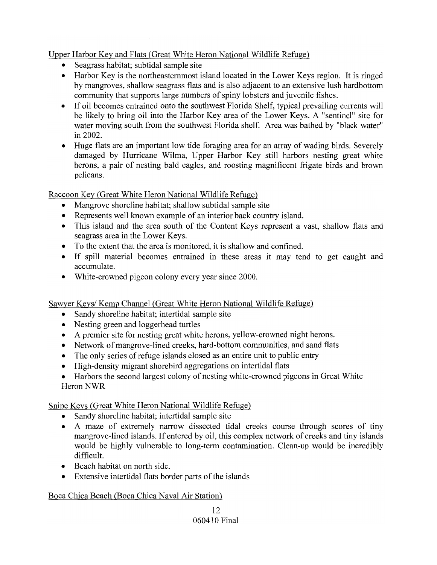Upper Harbor Key and Flats (Great White Heron National Wildlife Refuge)

- Seagrass habitat; subtidal sample site
- Harbor Key is the northeasternmost island located in the Lower Keys region. It is ringed by mangroves, shallow seagrass flats and is also adjacent to an extensive lush hardbottom community that supports large numbers of spiny lobsters and juvenile fishes.
- If oil becomes entrained onto the southwest Florida Shelf, typical prevailing currents will be likely to bring oil into the Harbor Key area of the Lower Keys. A "sentinel" site for water moving south from the southwest Florida shelf. Area was bathed by "black water" in 2002.
- Huge flats are an important low tide foraging area for an array of wading birds. Severely damaged by Hurricane Wilma, Upper Harbor Key still harbors nesting great white herons, a pair of nesting bald eagles, and roosting magnificent frigate birds and brown pelicans.

Raccoon Key (Great White Heron National Wildlife Refuge)

- Mangrove shoreline habitat; shallow subtidal sample site
- Represents well known example of an interior back country island.
- This island and the area south of the Content Keys represent a vast, shallow flats and seagrass area in the Lower Keys.
- To the extent that the area is monitored, it is shallow and confined.
- If spill material becomes entrained in these areas it may tend to get caught and accumulate.
- White-crowned pigeon colony every year since 2000.

Sawyer Keys/ Kemp Channel (Great White Heron National Wildlife Refuge)

- Sandy shoreline habitat; intertidal sample site
- Nesting green and loggerhead turtles
- A premier site for nesting great white herons, yellow-crowned night herons.
- Network of mangrove-lined creeks, hard-bottom communities, and sand flats
- The only series of refuge islands closed as an entire unit to public entry
- High-density migrant shorebird aggregations on intertidal flats

• Harbors the second largest colony of nesting white-crowned pigeons in Great White Heron NWR

Snipe Keys (Great White Heron National Wildlife Refuge)

- Sandy shoreline habitat; intertidal sample site
- A maze of extremely narrow dissected tidal creeks course through scores of tiny mangrove-lined islands. If entered by oil, this complex network of creeks and tiny islands would be highly vulnerable to long-term contamination. Clean-up would be incredibly difficult.
- Beach habitat on north side.
- Extensive intertidal flats border parts of the islands

# Boca Chica Beach (Boca Chica Naval Air Station)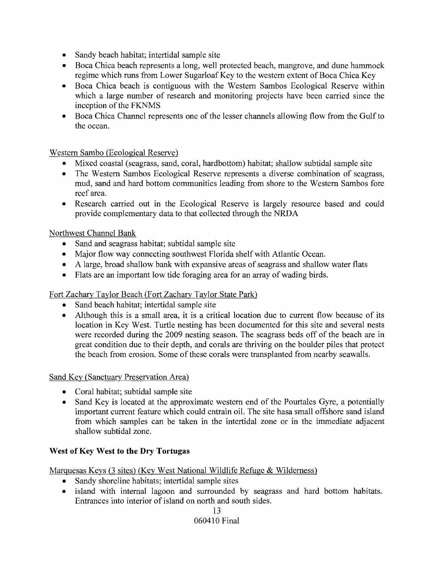- Sandy beach habitat; intertidal sample site
- Boca Chica beach represents a long, well protected beach, mangrove, and dune hammock regime which runs from Lower Sugarloaf Key to the western extent of Boca Chica Key
- Boca Chica beach is contiguous with the Western Sambos Ecological Reserve within which a large number of research and monitoring projects have been carried since the inception of the FKNMS
- Boca Chica Channel represents one of the lesser channels allowing flow from the Gulf to the ocean.

# Western Sambo (Ecological Reserve)

- Mixed coastal (seagrass, sand, coral, hardbottom) habitat; shallow subtidal sample site
- The Western Sambos Ecological Reserve represents a diverse combination of seagrass, mud, sand and hard bottom communities leading from shore to the Western Sambos fore reef area.
- Research carried out in the Ecological Reserve is largely resource based and could provide complementary data to that collected through the NRDA

# Northwest Channel Bank

- Sand and seagrass habitat; subtidal sample site
- Major flow way connecting southwest Florida shelf with Atlantic Ocean.
- A large, broad shallow bank with expansive areas of seagrass and shallow water flats
- Flats are an important low tide foraging area for an array of wading birds.

# Fort Zachary Taylor Beach (Fort Zachary Taylor State Park)

- Sand beach habitat; intertidal sample site
- Although this is a small area, it is a critical location due to current flow because of its location in Key West. Turtle nesting has been documented for this site and several nests were recorded during the 2009 nesting season. The seagrass beds off of the beach are in great condition due to their depth, and corals are thriving on the boulder piles that protect the beach from erosion. Some of these corals were transplanted from nearby seawalls.

### Sand Key (Sanctuary Preservation Area)

- Coral habitat; subtidal sample site
- Sand Key is located at the approximate western end of the Pourtales Gyre, a potentially important current feature which could entrain oil. The site hasa small offshore sand island from which samples can be taken in the intertidal zone or in the immediate adjacent shallow subtidal zone.

# **West** of Key **West to the Dry Tortugas**

# Marguesas Keys (3 sites) (Key West National Wildlife Refuge & Wilderness)

- Sandy shoreline habitats; intertidal sample sites
- island with internal lagoon and surrounded by seagrass and hard bottom habitats. Entrances into interior of island on north and south sides.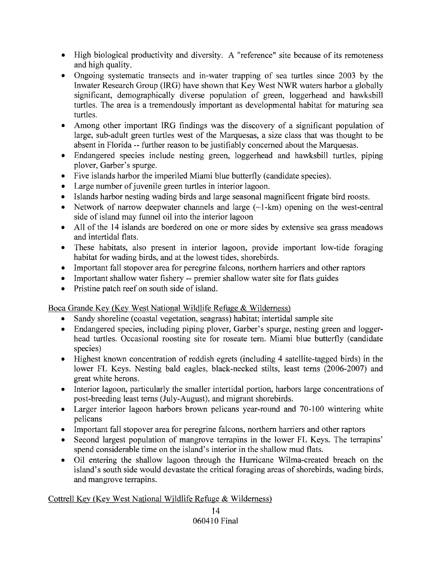- High biological productivity and diversity. A "reference" site because of its remoteness and high quality.
- Ongoing systematic transects and in-water trapping of sea turtles since 2003 by the Inwater Research Group (IRG) have shown that Key West NWR waters harbor a globally significant, demographically diverse population of green, loggerhead and hawksbill turtles. The area is a tremendously important as developmental habitat for maturing sea turtles.
- Among other important IRG findings was the discovery of a significant population of large, sub-adult green turtles west of the Marquesas, a size class that was thought to be absent in Florida -- further reason to be justifiably concerned about the Marquesas.
- Endangered species include nesting green, loggerhead and hawksbill turtles, piping plover, Garber's spurge.
- Five islands harbor the imperiled Miami blue butterfly (candidate species).
- Large number of juvenile green turtles in interior lagoon.
- Islands harbor nesting wading birds and large seasonal magnificent frigate bird roosts.
- Network of narrow deepwater channels and large  $(\sim 1-km)$  opening on the west-central side of island may funnel oil into the interior lagoon
- All of the 14 islands are bordered on one or more sides by extensive sea grass meadows and intertidal flats.
- These habitats, also present in interior lagoon, provide important low-tide foraging habitat for wading birds, and at the lowest tides, shorebirds.
- Important fall stopover area for peregrine falcons, northern harriers and other raptors
- Important shallow water fishery -- premier shallow water site for flats guides
- Pristine patch reef on south side of island.

Boca Grande Key (Key West National Wildlife Refuge & Wilderness)

- Sandy shoreline (coastal vegetation, seagrass) habitat; intertidal sample site
- Endangered species, including piping plover, Garber's spurge, nesting green and loggerhead turtles. Occasional roosting site for roseate tern. Miami blue butterfly (candidate species)
- Highest known concentration of reddish egrets (including 4 satellite-tagged birds) in the lower FL Keys. Nesting bald eagles, black-necked stilts, least terns (2006-2007) and great white herons.
- Interior lagoon, particularly the smaller intertidal portion, harbors large concentrations of post-breeding least terns (July-August), and migrant shorebirds.
- Larger interior lagoon harbors brown pelicans year-round and 70-100 wintering white pelicans
- Important fall stopover area for peregrine falcons, northern harriers and other raptors
- Second largest population of mangrove terrapins in the lower FL Keys. The terrapins' spend considerable time on the island's interior in the shallow mud flats.
- Oil entering the shallow lagoon through the Hurricane Wilma-created breach on the island's south side would devastate the critical foraging areas of shorebirds, wading birds, and mangrove terrapins.

### Cottrell Key (Key West National Wildlife Refuge & Wilderness)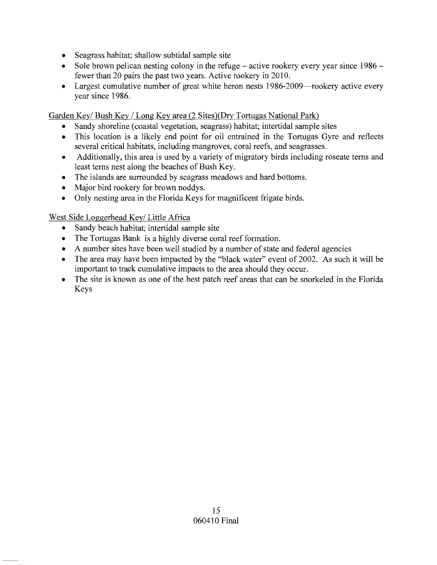- Seagrass habitat; shallow subtidal sample site
- Sole brown pelican nesting colony in the refuge  $-$  active rookery every year since  $1986$ fewer than 20 pairs the past two years. Active rookery in 2010.
- Largest cumulative number of great white heron nests 1986-2009—rookery active every year since 1986.

Garden Key/ Bush Key / Long Key area (2 Sites)(Dry Tortugas National Park)

- Sandy shoreline (coastal vegetation, seagrass) habitat; intertidal sample sites
- This location is a likely end point for oil entrained in the Tortugas Gyre and reflects several critical habitats, including mangroves, coral reefs, and seagrasses.
- Additionally, this area is used by a variety of migratory birds including roseate terns and least terns nest along the beaches of Bush Key.
- The islands are surrounded by seagrass meadows and hard bottoms.
- Major bird rookery for brown noddys.
- Only nesting area in the Florida Keys for magnificent frigate birds.

# West Side Loggerhead Key/ Little Africa

- Sandy beach habitat; intertidal sample site
- The Tortugas Bank is a highly diverse coral reef formation.
- A number sites have been well studied by a number of state and federal agencies
- The area may have been impacted by the "black water" event of 2002. As such it will be important to track cumulative impacts to the area should they occur.
- The site is known as one of the best patch reef areas that can be snorkeled in the Florida Keys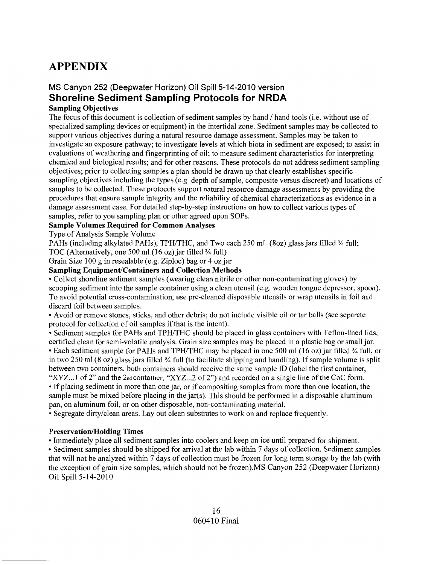# **APPENDIX**

# **MS Canyon 252 (Deepwater Horizon) Oil Spill 5-14-2010 version Shoreline Sediment Sampling Protocols for NRDA**

#### **Sampling Objectives**

The focus of this document is collection of sediment samples by hand / hand tools (i.e. without use of specialized sampling devices or equipment) in the intertidal zone. Sediment samples may be collected to support various objectives during a natural resource damage assessment. Samples may be taken to investigate an exposure pathway; to investigate levels at which biota in sediment are exposed; to assist in evaluations of weathering and fingerprinting of oil; to measure sediment characteristics for interpreting chemical and biological results; and for other reasons. These protocols do not address sediment sampling objectives; prior to collecting samples a plan should be drawn up that clearly establishes specific sampling objectives including the types (e.g. depth of sample, composite versus discreet) and locations of samples to be collected. These protocols support natural resource damage assessments by providing the procedures that ensure sample integrity and the reliability of chemical characterizations as evidence in a damage assessment case. For detailed step-by-step instructions on how to collect various types of samples, refer to you sampling plan or other agreed upon SOPs.

#### **Sample Volumes Required for Common Analyses**

Type of Analysis Sample Volume

PAHs (including alkylated PAHs), TPH/THC, and Two each 250 mL (80z) glass jars filled  $\frac{3}{4}$  full; TOC (Alternatively, one 500 ml (16 oz) jar filled  $\frac{3}{4}$  full)

# Grain Size 100 g in resealable (e.g. Ziploc) bag or 4 ozjar

# **Sampling Equipment/Containers and Collection Methods**

• Collect shoreline sediment samples (wearing clean nitrile or other non-contaminating gloves) by scooping sediment into the sample container using a clean utensil (e.g. wooden tongue depressor, spoon). To avoid potential cross-contamination, use pre-cleaned disposable utensils or wrap utensils in foil and discard foil between samples.

• Avoid or remove stones, sticks, and other debris; do not include visible oil or tar balls (see separate protocol for collection of oil samples if that is the intent).

• Sediment samples for PAHs and TPH/THC should be placed in glass containers with Teflon-lined lids, certified clean for semi-volatile analysis. Grain size samples may be placed in a plastic bag or small jar. • Each sediment sample for PAHs and TPH/THC may be placed in one 500 ml (16 oz) jar filled % full, or in two 250 ml (8 oz) glass jars filled  $\frac{3}{4}$  full (to facilitate shipping and handling). If sample volume is split between two containers, both containers should receive the same sample ID (label the first container,

"XYZ...1 of 2" and the 2<sup>nd</sup> container, "XYZ...2 of 2") and recorded on a single line of the CoC form. • If placing sediment in more than one jar, or if compositing samples from more than one location, the sample must be mixed before placing in the jar(s). This should be performed in a disposable aluminum pan, on aluminum foil, or on other disposable, non-contaminating material.

• Segregate dirty/clean areas. Layout clean substrates to work on and replace frequently.

#### **Preservation/Holding Times**

• Immediately place all sediment samples into coolers and keep on ice until prepared for shipment.

• Sediment samples should be shipped for arrival at the lab within 7 days of collection. Sediment samples that will not be analyzed within 7 days of collection must be frozen for long tenn storage by the lab (with the exception of grain size samples, which should not be frozen}.MS Canyon 252 (Deepwater Horizon) Oil Spill 5-14-2010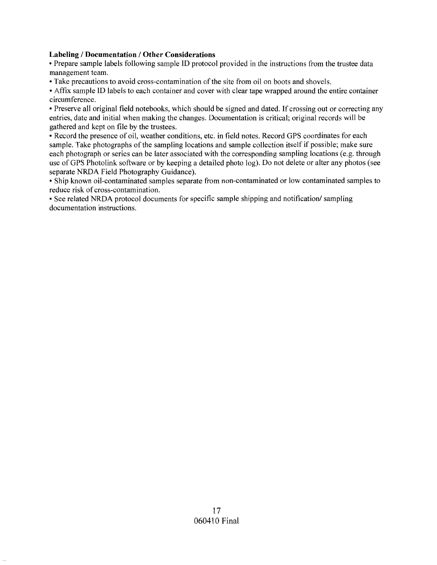#### **Labeling / Documentation / Other Considerations**

• Prepare sample labels following sample ID protocol provided in the instructions from the trustee data management team.

• Take precautions to avoid cross-contamination of the site from oil on boots and shovels.

• Affix sample ID labels to each container and cover with clear tape wrapped around the entire container circumference.

• Preserve all original field notebooks, which should be signed and dated. If crossing out or correcting any entries, date and initial when making the changes. Documentation is critical; original records will be gathered and kept on file by the trustees.

• Record the presence of oil, weather conditions, etc. in field notes. Record GPS coordinates for each sample. Take photographs of the sampling locations and sample collection itself if possible; make sure each photograph or series can be later associated with the corresponding sampling locations (e.g. through use of GPS Photolink software or by keeping a detailed photo log). Do not delete or alter any photos (see separate NRDA Field Photography Guidance).

• Ship known oil-contaminated samples separate from non-contaminated or low contaminated samples to reduce risk of cross-contamination.

• See related NRDA protocol documents for specific sample shipping and notification/ sampling documentation instructions.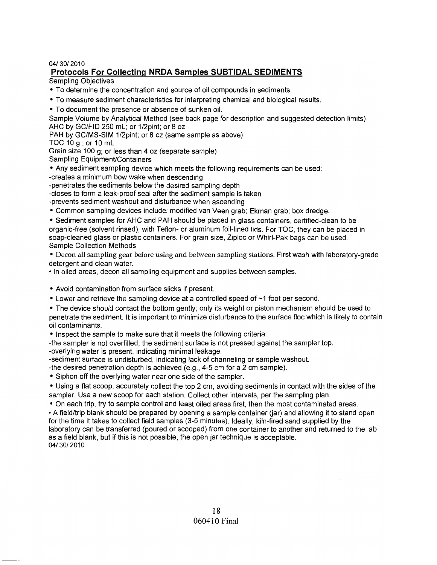#### 04/30/2010

#### **Protocols For Collecting NRDA Samples SUBTIDAL SEDIMENTS**

Sampling Objectives

- To determine the concentration and source of oil compounds in sediments.
- To measure sediment characteristics for interpreting chemical and biological results.
- To document the presence or absence of sunken oil.

Sample Volume by Analytical Method (see back page for description and suggested detection limits) AHC by GC/FID 250 mL; or 1/2pint; or 8 oz

PAH by GC/MS-SIM 1/2pint; or 8 oz (same sample as above)

TOC 10 g; or 10 mL

Grain size 100 g; or less than 4 oz (separate sample) Sampling Equipment/Containers

• Any sediment sampling device which meets the following requirements can be used:

-creates a minimum bow wake when descending

-penetrates the sediments below the desired sampling depth

-closes to form a leak-proof seal after the sediment sample is taken

-prevents sediment washout and disturbance when ascending

• Common sampling devices include: modified van Veen grab; Ekman grab; box dredge.

• Sediment samples for AHC and PAH should be placed in glass containers, certified-clean to be organic-free (solvent rinsed), with Teflon- or aluminum foil-lined lids. For TOC, they can be placed in soap-cleaned glass or plastic containers. For grain size, Ziploc or Whirl-Pak bags can be used. Sample Collection Methods

• Decon all sampling gear before using and between sampling stations. First wash with laboratory-grade detergent and clean water.

• In oiled areas, decon all sampling equipment and supplies between samples.

- Avoid contamination from surface slicks if present.
- Lower and retrieve the sampling device at a controlled speed of ~1 foot per second.

• The device should contact the bottom gently; only its weight or piston mechanism should be used to penetrate the sediment. It is important to minimize disturbance to the surface floc which is likely to contain oil contaminants.

• Inspect the sample to make sure that it meets the following criteria:

-the sampler is not overfilled; the sediment surface is not pressed against the sampler top. -overlying water is present, indicating minimal leakage.

-sediment surface is undisturbed, indicating lack of channeling or sample washout.

-the desired penetration depth is achieved (e.g., 4-5 cm for a 2 cm sample).

• Siphon off the overlying water near one side of the sampler.

• Using a flat scoop, accurately collect the top 2 cm, avoiding sediments in contact with the sides of the sampler. Use a new scoop for each station. Collect other intervals, per the sampling plan.

• On each trip, try to sample control and least oiled areas first, then the most contaminated areas .

• A field/trip blank should be prepared by opening a sample container (iar) and allowing it to stand open for the time it takes to collect field samples (3-5 minutes). Ideally, kiln-fired sand supplied by the laboratory can be transferred (poured or scooped) from one container to another and returned to the lab as a field blank, but if this is not possible, the open jar technique is acceptable.

04/30/2010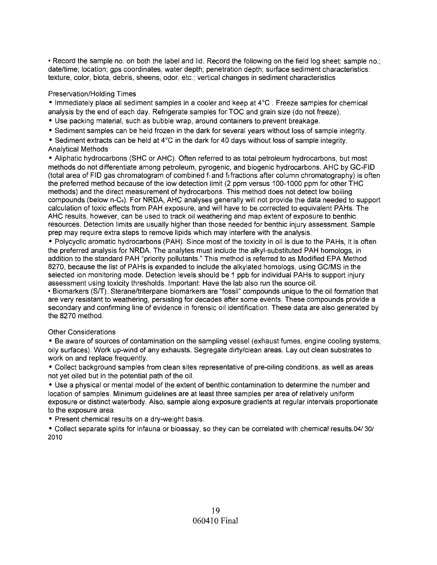• Record the sample no. on both the label and lid. Record the following on the field log sheet: sample no.; date/time; location; gps coordinates, water depth; penetration depth; surface sediment characteristics: texture, color, biota, debris, sheens, odor, etc.; vertical changes in sediment characteristics

#### Preservation/Holding Times

• Immediately place all sediment samples in a cooler and keep at 4°C. Freeze samples for chemical analysis by the end of each day. Refrigerate samples for TOC and grain size (do not freeze).

- Use packing material, such as bubble wrap, around containers to prevent breakage.
- Sediment samples can be held frozen in the dark for several years without loss of sample integrity.

• Sediment extracts can be held at 4°C in the dark for 40 days without loss of sample integrity. Analytical Methods

• Aliphatic hydrocarbons (SHC or AHC). Often referred to as total petroleum hydrocarbons, but most methods do not differentiate among petroleum, pyrogenic, and biogenic hydrocarbons. AHC by GC-FID (total area of FID gas chromatogram of combined  $f_1$  and  $f_2$  fractions after column chromatography) is often the preferred method because of the low detection limit (2 ppm versus 100-1000 ppm for other THC methods) and the direct measurement of hydrocarbons. This method does not detect low boiling compounds (below n-C8). For NRDA, AHC analyses generally will not provide the data needed to support calculation of toxic effects from PAH exposure, and will have to be corrected to equivalent PAHs. The AHC results, however, can be used to track oil weathering and map extent of exposure to benthic resources. Detection limits are usually higher than those needed for benthic injury assessment. Sample prep may require extra steps to remove lipids which may interfere with the analysis.

• Polycyclic aromatic hydrocarbons (PAH). Since most of the toxicity in oil is due to the PAHs, it is often the preferred analysis for NRDA. The analytes must include the alkyl-substituted PAH homologs, in addition to the standard PAH "priority pollutants." This method is referred to as Modified EPA Method 8270, because the list of PAHs is expanded to include the alkylated homologs, using GC/MS in the selected ion monitoring mode. Detection levels should be 1 ppb for individual PAHs to support injury assessment using toxicity thresholds. Important: Have the lab also run the source oil.

• Biomarkers (SIT). Sterane/triterpane biomarkers are "fossil" compounds unique to the oil formation that are very resistant to weathering, persisting for decades after some events. These compounds provide a secondary and confirming line of evidence in forensic oil identification. These data are also generated by the 8270 method.

#### Other Considerations

• Be aware of sources of contamination on the sampling vessel (exhaust fumes, engine cooling systems, oily surfaces). Work up-wind of any exhausts. Segregate dirty/clean areas. Layout clean substrates to work on and replace frequently.

• Collect background samples from clean sites representative of pre-oiling conditions, as well as areas not yet oiled but in the potential path of the oil.

• Use a physical or mental model of the extent of benthic contamination to determine the number and location of samples. Minimum guidelines are at least three samples per area of relatively uniform exposure or distinct waterbody. Also, sample along exposure gradients at regular intervals proportionate to the exposure area.

• Present chemical results on a dry-weight basis.

• Collect separate splits for infauna or bioassay, so they can be correlated with chemical results.04/301 2010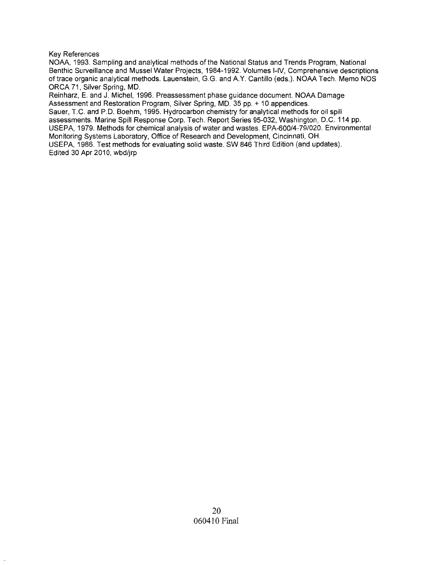#### Key References

NOAA, 1993. Sampling and analytical methods of the National Status and Trends Program, National Benthic Surveillance and Mussel Water Projects, 1984-1992. Volumes I-IV, Comprehensive descriptions of trace organic analytical methods. Lauenstein, G.G. and AY. Cantillo (eds.). NOAA Tech. Memo NOS ORCA 71, Silver Spring, MD.

Reinharz, E. and J. Michel, 1996. Preassessment phase guidance document. NOAA Damage Assessment and Restoration Program, Silver Spring, MD. 35 pp. + 10 appendices. Sauer, T.C. and P.D. Boehm, 1995. Hydrocarbon chemistry for analytical methods for oil spill assessments. Marine Spill Response Corp. Tech. Report Series 95-032, Washington, D.C. 114 pp. USEPA, 1979. Methods for chemical analysis of water and wastes. EPA-600/4-79/020. Environmental Monitoring Systems Laboratory, Office of Research and Development, Cincinnati, OH.

USEPA, 1986. Test methods for evaluating solid waste. SW 846 Third Edition (and updates). Edited 30 Apr 2010, wbd/jrp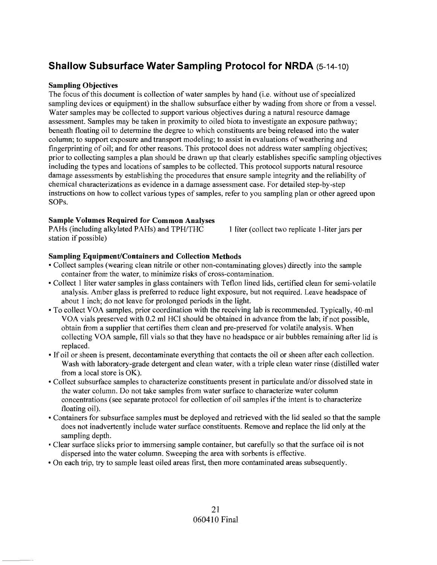# **Shallow Subsurface Water Sampling Protocol for NRDA** (5-14-10)

#### **Sampling Objectives**

The focus of this document is collection of water samples by hand (i.e. without use of specialized sampling devices or equipment) in the shallow subsurface either by wading from shore or from a vessel. Water samples may be collected to support various objectives during a natural resource damage assessment. Samples may be taken in proximity to oiled biota to investigate an exposure pathway; beneath floating oil to determine the degree to which constituents are being released into the water column; to support exposure and transport modeling; to assist in evaluations of weathering and fingerprinting of oil; and for other reasons. This protocol does not address water sampling objectives; prior to collecting samples a plan should be drawn up that clearly establishes specific sampling objectives including the types and locations of samples to be collected. This protocol supports natural resource damage assessments by establishing the procedures that ensure sample integrity and the reliability of chemical characterizations as evidence in a damage assessment case. For detailed step-by-step instructions on how to collect various types of samples, refer to you sampling plan or other agreed upon SOPs.

#### **Sample Volumes Required for Common Analyses**

PAHs (including alkylated PAHs) and TPH/THC station if possible)

1 liter (collect two replicate I-liter jars per

#### **Sampling Equipment/Containers and Collection Methods**

- Collect samples (wearing clean nitrile or other non-contaminating gloves) directly into the sample container from the water, to minimize risks of cross-contamination .
- Collect 1 liter water samples in glass containers with Teflon lined lids, certified clean for semi-volatile analysis. Amber glass is preferred to reduce light exposure, but not required. Leave headspace of about 1 inch; do not leave for prolonged periods in the light.
- To collect VOA samples, prior coordination with the receiving lab is recommended. Typically, 40-ml VOA vials preserved with 0.2 ml HCI should be obtained in advance from the lab; if not possible, obtain from a supplier that certifies them clean and pre-preserved for volatile analysis. When collecting VOA sample, fill vials so that they have no headspace or air bubbles remaining after lid is replaced.
- If oil or sheen is present, decontaminate everything that contacts the oil or sheen after each collection. Wash with laboratory-grade detergent and clean water, with a triple clean water rinse (distilled water from a local store is OK).
- Collect subsurface samples to characterize constituents present in particulate and/or dissolved state in the water column. Do not take samples from water surface to characterize water column concentrations (see separate protocol for collection of oil samples if the intent is to characterize floating oil).
- Containers for subsurface samples must be deployed and retrieved with the lid sealed so that the sample does not inadvertently include water surface constituents. Remove and replace the lid only at the sampling depth.
- Clear surface slicks prior to immersing sample container, but carefully so that the surface oil is not dispersed into the water column. Sweeping the area with sorbents is effective.
- On each trip, try to sample least oiled areas first, then more contaminated areas subsequently.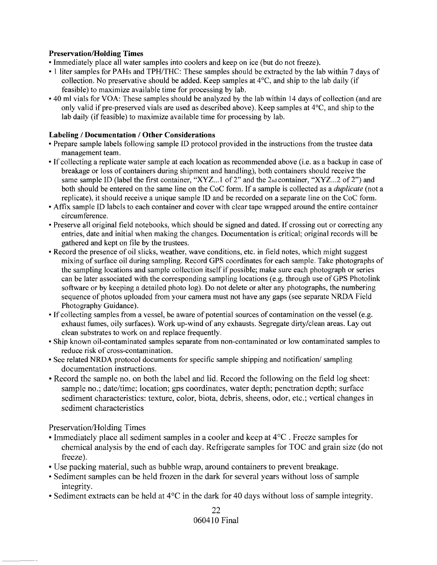#### Preservation/Holding Times

- Immediately place all water samples into coolers and keep on ice (but do not freeze).
- 1 liter samples for PAHs and TPH/THC: These samples should be extracted by the lab within 7 days of collection. No preservative should be added. Keep samples at 4°C, and ship to the lab daily (if feasible) to maximize available time for processing by lab.
- 40 ml vials for VOA: These samples should be analyzed by the lab within 14 days of collection (and are only valid if pre-preserved vials are used as described above). Keep samples at 4°C, and ship to the lab daily (if feasible) to maximize available time for processing by lab.

#### Labeling / Documentation / Other Considerations

- Prepare sample labels following sample ID protocol provided in the instructions from the trustee data management team.
- If collecting a replicate water sample at each location as recommended above (i.e. as a backup in case of breakage or loss of containers during shipment and handling), both containers should receive the same sample ID (label the first container, "XYZ...1 of 2" and the 2nd container, "XYZ...2 of 2") and both should be entered on the same line on the CoC form. If a sample is collected as a *duplicate* (not a replicate), it should receive a unique sample ID and be recorded on a separate line on the CoC form.
- Affix sample ID labels to each container and cover with clear tape wrapped around the entire container circumference.
- Preserve all original field notebooks, which should be signed and dated. If crossing out or correcting any entries, date and initial when making the changes. Documentation is critical; original records will be gathered and kept on file by the trustees.
- Record the presence of oil slicks, weather, wave conditions, etc. in field notes, which might suggest mixing of surface oil during sampling. Record GPS coordinates for each sample. Take photographs of the sampling locations and sample collection itself if possible; make sure each photograph or series can be later associated with the corresponding sampling locations (e.g. through use of GPS Photolink software or by keeping a detailed photo log). Do not delete or alter any photographs, the numbering sequence of photos uploaded from your camera must not have any gaps (see separate NRDA Field Photography Guidance).
- If collecting samples from a vessel, be aware of potential sources of contamination on the vessel (e.g. exhaust fumes, oily surfaces). Work up-wind of any exhausts. Segregate dirty/clean areas. Layout clean substrates to work on and replace frequently.
- Ship known oil-contaminated samples separate from non-contaminated or low contaminated samples to reduce risk of cross-contamination.
- See related NRDA protocol documents for specific sample shipping and notification/sampling documentation instructions.
- Record the sample no. on both the label and lid. Record the following on the field log sheet: sample no.; date/time; location; gps coordinates, water depth; penetration depth; surface sediment characteristics: texture, color, biota, debris, sheens, odor, etc.; vertical changes in sediment characteristics

Preservation/Holding Times

- Immediately place all sediment samples in a cooler and keep at  $4^{\circ}$ C. Freeze samples for chemical analysis by the end of each day. Refrigerate samples for TOC and grain size (do not freeze).
- Use packing material, such as bubble wrap, around containers to prevent breakage.
- Sediment samples can be held frozen in the dark for several years without loss of sample integrity.
- Sediment extracts can be held at  $4^{\circ}$ C in the dark for 40 days without loss of sample integrity.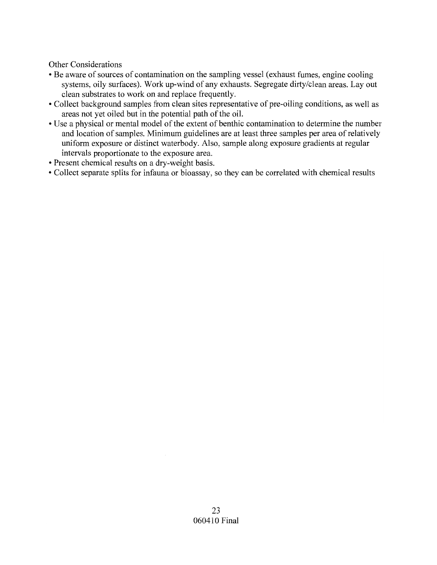Other Considerations

- Be aware of sources of contamination on the sampling vessel (exhaust fumes, engine cooling systems, oily surfaces). Work up-wind of any exhausts. Segregate dirty/clean areas. Layout clean substrates to work on and replace frequently.
- Collect background samples from clean sites representative of pre-oiling conditions, as well as areas not yet oiled but in the potential path of the oil.
- Use a physical or mental model of the extent of benthic contamination to determine the number and location of samples. Minimum guidelines are at least three samples per area of relatively uniform exposure or distinct waterbody. Also, sample along exposure gradients at regular intervals proportionate to the exposure area.
- Present chemical results on a dry-weight basis.
- Collect separate splits for infauna or bioassay, so they can be correlated with chemical results